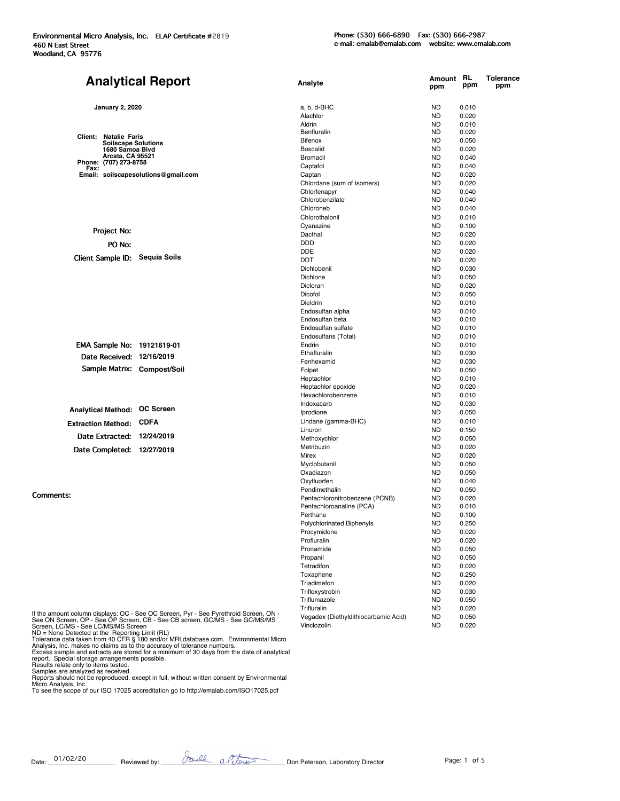| <b>Analytical Report</b>                                                                                                                                         | Analyte                              | Amount RL<br>ppm | ppm            | <b>Tolerance</b><br>ppm |
|------------------------------------------------------------------------------------------------------------------------------------------------------------------|--------------------------------------|------------------|----------------|-------------------------|
| <b>January 2, 2020</b>                                                                                                                                           | a, b, d-BHC                          | ND.              | 0.010          |                         |
|                                                                                                                                                                  | Alachlor                             | ND.              | 0.020          |                         |
|                                                                                                                                                                  | Aldrin                               | ND.              | 0.010          |                         |
| Client: Natalie Faris                                                                                                                                            | Benfluralin                          | ND.              | 0.020          |                         |
| <b>Soilscape Solutions</b>                                                                                                                                       | Bifenox                              | ND.              | 0.050          |                         |
| 1680 Samoa Blvd<br>Arcata, CA 95521                                                                                                                              | <b>Boscalid</b><br><b>Bromacil</b>   | ND.<br><b>ND</b> | 0.020<br>0.040 |                         |
| Phone: (707) 273-8758                                                                                                                                            | Captafol                             | ND.              | 0.040          |                         |
| Fax:<br>Email: soilscapesolutions@gmail.com                                                                                                                      | Captan                               | <b>ND</b>        | 0.020          |                         |
|                                                                                                                                                                  | Chlordane (sum of Isomers)           | ND.              | 0.020          |                         |
|                                                                                                                                                                  | Chlorfenapyr                         | ND.              | 0.040          |                         |
|                                                                                                                                                                  | Chlorobenzilate                      | <b>ND</b>        | 0.040          |                         |
|                                                                                                                                                                  | Chloroneb                            | ND.              | 0.040          |                         |
|                                                                                                                                                                  | Chlorothalonil                       | ND.              | 0.010          |                         |
|                                                                                                                                                                  | Cyanazine                            | <b>ND</b>        | 0.100          |                         |
| Project No:                                                                                                                                                      | Dacthal                              | ND.              | 0.020          |                         |
| PO No:                                                                                                                                                           | DDD                                  | ND.              | 0.020          |                         |
|                                                                                                                                                                  | DDE                                  | ND.              | 0.020          |                         |
| Client Sample ID:<br><b>Sequia Soils</b>                                                                                                                         | <b>DDT</b>                           | ND.              | 0.020          |                         |
|                                                                                                                                                                  | Dichlobenil                          | <b>ND</b>        | 0.030          |                         |
|                                                                                                                                                                  | Dichlone                             | ND.              | 0.050          |                         |
|                                                                                                                                                                  | Dicloran                             | ND.              | 0.020          |                         |
|                                                                                                                                                                  | Dicofol                              | ND.              | 0.050          |                         |
|                                                                                                                                                                  | Dieldrin                             | ND.              | 0.010          |                         |
|                                                                                                                                                                  | Endosulfan alpha<br>Endosulfan beta  | ND.<br>ND.       | 0.010<br>0.010 |                         |
|                                                                                                                                                                  | Endosulfan sulfate                   | ND.              | 0.010          |                         |
|                                                                                                                                                                  | Endosulfans (Total)                  | ND.              | 0.010          |                         |
| EMA Sample No: 19121619-01                                                                                                                                       | Endrin                               | ND.              | 0.010          |                         |
|                                                                                                                                                                  | Ethafluralin                         | ND.              | 0.030          |                         |
| Date Received: 12/16/2019                                                                                                                                        | Fenhexamid                           | ND.              | 0.030          |                         |
| Sample Matrix: Compost/Soil                                                                                                                                      | Folpet                               | <b>ND</b>        | 0.050          |                         |
|                                                                                                                                                                  | Heptachlor                           | ND.              | 0.010          |                         |
|                                                                                                                                                                  | Heptachlor epoxide                   | ND.              | 0.020          |                         |
|                                                                                                                                                                  | Hexachlorobenzene                    | ND.              | 0.010          |                         |
| Analytical Method: OC Screen                                                                                                                                     | Indoxacarb                           | ND.              | 0.030          |                         |
|                                                                                                                                                                  | Iprodione                            | ND.              | 0.050          |                         |
| <b>Extraction Method: CDFA</b>                                                                                                                                   | Lindane (gamma-BHC)                  | ND.              | 0.010          |                         |
| Date Extracted: 12/24/2019                                                                                                                                       | Linuron                              | ND.              | 0.150          |                         |
|                                                                                                                                                                  | Methoxychlor                         | ND.              | 0.050          |                         |
| Date Completed: 12/27/2019                                                                                                                                       | Metribuzin<br>Mirex                  | ND.<br>ND.       | 0.020          |                         |
|                                                                                                                                                                  | Myclobutanil                         | ND.              | 0.020<br>0.050 |                         |
|                                                                                                                                                                  | Oxadiazon                            | ND               | 0.050          |                         |
|                                                                                                                                                                  | Oxyfluorfen                          | ND.              | 0.040          |                         |
|                                                                                                                                                                  | Pendimethalin                        | ND               | 0.050          |                         |
| Comments:                                                                                                                                                        | Pentachloronitrobenzene (PCNB)       | ND               | 0.020          |                         |
|                                                                                                                                                                  | Pentachloroanaline (PCA)             | ND.              | 0.010          |                         |
|                                                                                                                                                                  | Perthane                             | ND.              | 0.100          |                         |
|                                                                                                                                                                  | Polychlorinated Biphenyls            | <b>ND</b>        | 0.250          |                         |
|                                                                                                                                                                  | Procymidone                          | <b>ND</b>        | 0.020          |                         |
|                                                                                                                                                                  | Profluralin                          | <b>ND</b>        | 0.020          |                         |
|                                                                                                                                                                  | Pronamide                            | ND.              | 0.050          |                         |
|                                                                                                                                                                  | Propanil                             | ND.              | 0.050          |                         |
|                                                                                                                                                                  | Tetradifon                           | ND.              | 0.020          |                         |
|                                                                                                                                                                  | Toxaphene                            | ND.              | 0.250          |                         |
|                                                                                                                                                                  | Triadimefon<br>Trifloxystrobin       | ND.              | 0.020          |                         |
|                                                                                                                                                                  | Triflumazole                         | ND.<br>ND.       | 0.030<br>0.050 |                         |
|                                                                                                                                                                  | Trifluralin                          | ND.              | 0.020          |                         |
| If the amount column displays: OC - See OC Screen, Pyr - See Pyrethroid Screen, ON - See ON Screen, OP - See OP Screen, CB - See CB screen, GC/MS - See GC/MS/MS | Vegadex (Diethyldithiocarbamic Acid) | ND.              | 0.050          |                         |
|                                                                                                                                                                  |                                      |                  |                |                         |

If the amount column displays: OC - See OC Screen, Pyr - See Pyrethroid Screen, ON -<br>See ON Screen, OP - See OP Screen, CB - See CB screen, GC/MS - See GC/MS/MS<br>Screen, LC/MS - See LC/MS/MS Screen<br>ND = None Detected at the

Vinclozolin

0.020

ND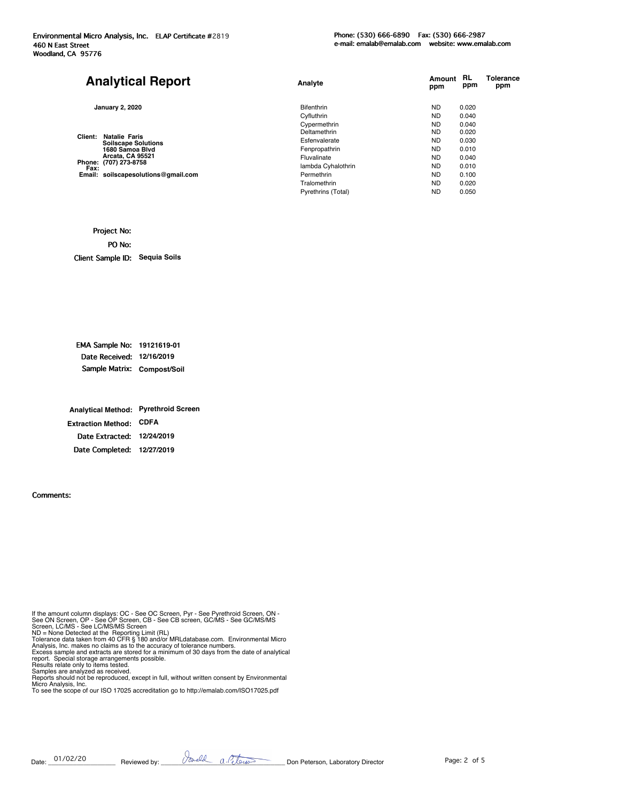| <b>Analytical Report</b>                                                  | Analyte                            | Amount<br>ppm          | RL<br>ppm      | Tolerance<br>ppm |
|---------------------------------------------------------------------------|------------------------------------|------------------------|----------------|------------------|
| <b>January 2, 2020</b>                                                    | <b>Bifenthrin</b><br>Cyfluthrin    | <b>ND</b><br><b>ND</b> | 0.020<br>0.040 |                  |
|                                                                           | Cypermethrin<br>Deltamethrin       | <b>ND</b><br><b>ND</b> | 0.040<br>0.020 |                  |
| Client:<br>Natalie Faris<br><b>Soilscape Solutions</b><br>1680 Samoa Blvd | Esfenvalerate<br>Fenpropathrin     | <b>ND</b><br><b>ND</b> | 0.030<br>0.010 |                  |
| <b>Arcata, CA 95521</b><br>Phone: (707) 273-8758<br>Fax:                  | Fluvalinate<br>lambda Cyhalothrin  | <b>ND</b><br><b>ND</b> | 0.040<br>0.010 |                  |
| Email: soilscapesolutions@gmail.com                                       | Permethrin                         | <b>ND</b>              | 0.100          |                  |
|                                                                           | Tralomethrin<br>Pyrethrins (Total) | <b>ND</b><br><b>ND</b> | 0.020<br>0.050 |                  |
|                                                                           |                                    |                        |                |                  |

Project No:

PO No:

Client Sample ID: **Sequia Soils**

| EMA Sample No: 19121619-01  |
|-----------------------------|
| Date Received: 12/16/2019   |
| Sample Matrix: Compost/Soil |
|                             |

| Analytical Method: Pyrethroid Screen |  |
|--------------------------------------|--|
| <b>Extraction Method: CDFA</b>       |  |
| Date Extracted: 12/24/2019           |  |
| Date Completed: 12/27/2019           |  |

## Comments:

If the amount column displays: OC - See OC Screen, Pyr - See Pyrethroid Screen, ON -<br>See ON Screen, OP - See OP Screen, CB - See CB screen, GC/MS - See GC/MS/MS<br>Screen, LC/MS - See LC/MS/MS Screen<br>ND = None Detected at the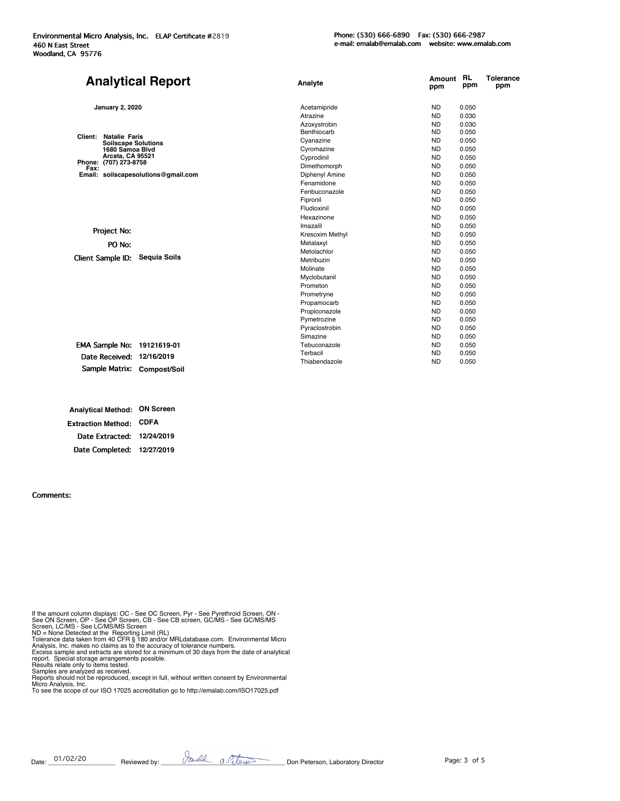|                                           | <b>Analytical Report</b>            | Analyte         | Amount<br>ppm | <b>RL</b><br>ppm | <b>Tolerance</b><br>ppm |
|-------------------------------------------|-------------------------------------|-----------------|---------------|------------------|-------------------------|
| <b>January 2, 2020</b>                    |                                     | Acetamipride    | <b>ND</b>     | 0.050            |                         |
|                                           |                                     | Atrazine        | <b>ND</b>     | 0.030            |                         |
|                                           |                                     | Azoxystrobin    | ND.           | 0.030            |                         |
| Client: Natalie Faris                     |                                     | Benthiocarb     | <b>ND</b>     | 0.050            |                         |
| <b>Soilscape Solutions</b>                |                                     | Cyanazine       | ND.           | 0.050            |                         |
| 1680 Samoa Blvd                           |                                     | Cyromazine      | ND.           | 0.050            |                         |
| Arcata, CA 95521<br>Phone: (707) 273-8758 |                                     | Cyprodinil      | <b>ND</b>     | 0.050            |                         |
| Fax:                                      |                                     | Dimethomorph    | <b>ND</b>     | 0.050            |                         |
|                                           | Email: soilscapesolutions@gmail.com | Diphenyl Amine  | <b>ND</b>     | 0.050            |                         |
|                                           |                                     | Fenamidone      | <b>ND</b>     | 0.050            |                         |
|                                           |                                     | Fenbuconazole   | <b>ND</b>     | 0.050            |                         |
|                                           |                                     | Fipronil        | <b>ND</b>     | 0.050            |                         |
|                                           |                                     | Fludioxinil     | <b>ND</b>     | 0.050            |                         |
|                                           |                                     | Hexazinone      | <b>ND</b>     | 0.050            |                         |
| Project No:                               |                                     | Imazalil        | <b>ND</b>     | 0.050            |                         |
|                                           |                                     | Kresoxim Methyl | <b>ND</b>     | 0.050            |                         |
| PO No:                                    |                                     | Metalaxyl       | <b>ND</b>     | 0.050            |                         |
|                                           |                                     | Metolachlor     | <b>ND</b>     | 0.050            |                         |
| Client Sample ID: Sequia Soils            |                                     | Metribuzin      | <b>ND</b>     | 0.050            |                         |
|                                           |                                     | Molinate        | <b>ND</b>     | 0.050            |                         |
|                                           |                                     | Myclobutanil    | <b>ND</b>     | 0.050            |                         |
|                                           |                                     | Prometon        | <b>ND</b>     | 0.050            |                         |
|                                           |                                     | Prometryne      | <b>ND</b>     | 0.050            |                         |
|                                           |                                     | Propamocarb     | ND.           | 0.050            |                         |
|                                           |                                     | Propiconazole   | <b>ND</b>     | 0.050            |                         |
|                                           |                                     | Pymetrozine     | <b>ND</b>     | 0.050            |                         |
|                                           |                                     | Pyraclostrobin  | <b>ND</b>     | 0.050            |                         |
|                                           |                                     | Simazine        | <b>ND</b>     | 0.050            |                         |
| EMA Sample No: 19121619-01                |                                     | Tebuconazole    | <b>ND</b>     | 0.050            |                         |
| Date Received: 12/16/2019                 |                                     | Terbacil        | <b>ND</b>     | 0.050            |                         |
|                                           |                                     | Thiabendazole   | <b>ND</b>     | 0.050            |                         |

Date Completed: **12/27/2019** Date Extracted: **12/24/2019**

Sample Matrix: Compost/Soil

**ON Screen Analytical Method: Extraction Method: CDFA**

## Comments:

If the amount column displays: OC - See OC Screen, Pyr - See Pyrethroid Screen, ON -<br>See ON Screen, OP - See OP Screen, CB - See CB screen, GC/MS - See GC/MS/MS<br>Screen, LC/MS - See LC/MS/MS Screen<br>ND = None Detected at the

Reports should not be reproduced, except in full, without written consent by Environmental Micro Analysis, Inc. To see the scope of our ISO 17025 accreditation go to http://emalab.com/ISO17025.pdf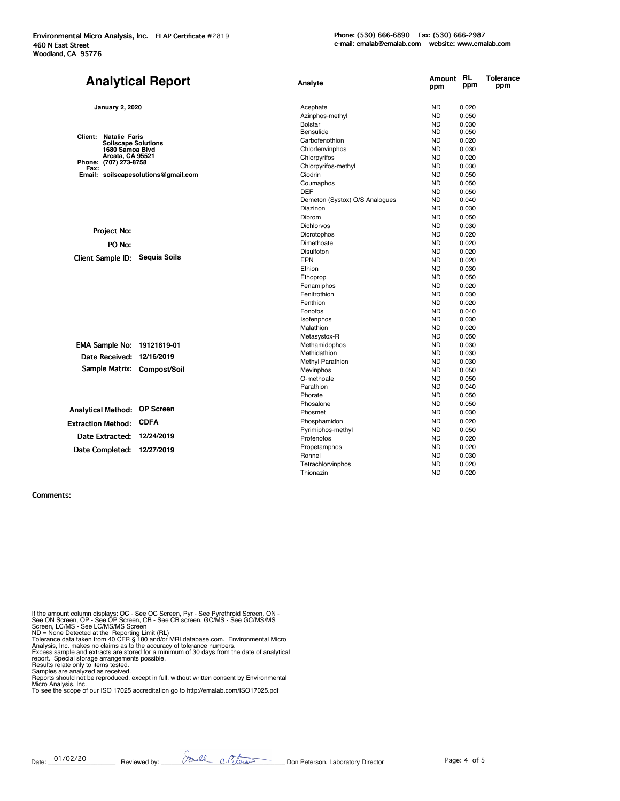|                                     | <b>Analytical Report</b>            | Analyte                                    | Amount<br>ppm          | <b>RL</b><br>ppm | <b>Tolerance</b><br>ppm |
|-------------------------------------|-------------------------------------|--------------------------------------------|------------------------|------------------|-------------------------|
| <b>January 2, 2020</b>              |                                     | Acephate                                   | ND                     | 0.020            |                         |
|                                     |                                     | Azinphos-methyl                            | <b>ND</b>              | 0.050            |                         |
|                                     |                                     | <b>Bolstar</b>                             | <b>ND</b>              | 0.030            |                         |
| <b>Client: Natalie Faris</b>        |                                     | Bensulide                                  | <b>ND</b>              | 0.050            |                         |
| <b>Soilscape Solutions</b>          |                                     | Carbofenothion                             | <b>ND</b>              | 0.020            |                         |
| 1680 Samoa Blvd<br>Arcata, CA 95521 |                                     | Chlorfenvinphos                            | ND                     | 0.030            |                         |
| Phone: (707) 273-8758               |                                     | Chlorpyrifos                               | <b>ND</b>              | 0.020            |                         |
| Fax:                                |                                     | Chlorpyrifos-methyl                        | <b>ND</b>              | 0.030            |                         |
|                                     | Email: soilscapesolutions@gmail.com | Ciodrin                                    | <b>ND</b>              | 0.050            |                         |
|                                     |                                     | Coumaphos<br><b>DEF</b>                    | <b>ND</b><br><b>ND</b> | 0.050            |                         |
|                                     |                                     |                                            | <b>ND</b>              | 0.050            |                         |
|                                     |                                     | Demeton (Systox) O/S Analogues<br>Diazinon | <b>ND</b>              | 0.040<br>0.030   |                         |
|                                     |                                     | <b>Dibrom</b>                              | <b>ND</b>              | 0.050            |                         |
|                                     |                                     | <b>Dichlorvos</b>                          | <b>ND</b>              | 0.030            |                         |
| Project No:                         |                                     | Dicrotophos                                | <b>ND</b>              | 0.020            |                         |
| PO <sub>No</sub> :                  |                                     | Dimethoate                                 | <b>ND</b>              | 0.020            |                         |
|                                     |                                     | Disulfoton                                 | <b>ND</b>              | 0.020            |                         |
| Client Sample ID:                   | <b>Sequia Soils</b>                 | EPN                                        | <b>ND</b>              | 0.020            |                         |
|                                     |                                     | Ethion                                     | <b>ND</b>              | 0.030            |                         |
|                                     |                                     | Ethoprop                                   | <b>ND</b>              | 0.050            |                         |
|                                     |                                     | Fenamiphos                                 | <b>ND</b>              | 0.020            |                         |
|                                     |                                     | Fenitrothion                               | <b>ND</b>              | 0.030            |                         |
|                                     |                                     | Fenthion                                   | ND                     | 0.020            |                         |
|                                     |                                     | Fonofos                                    | <b>ND</b>              | 0.040            |                         |
|                                     |                                     | Isofenphos                                 | <b>ND</b>              | 0.030            |                         |
|                                     |                                     | Malathion                                  | <b>ND</b>              | 0.020            |                         |
|                                     |                                     | Metasystox-R                               | <b>ND</b>              | 0.050            |                         |
| EMA Sample No: 19121619-01          |                                     | Methamidophos                              | <b>ND</b>              | 0.030            |                         |
| Date Received: 12/16/2019           |                                     | Methidathion                               | <b>ND</b>              | 0.030            |                         |
|                                     |                                     | <b>Methyl Parathion</b>                    | <b>ND</b>              | 0.030            |                         |
| Sample Matrix: Compost/Soil         |                                     | Mevinphos                                  | <b>ND</b>              | 0.050            |                         |
|                                     |                                     | O-methoate<br>Parathion                    | <b>ND</b><br><b>ND</b> | 0.050<br>0.040   |                         |
|                                     |                                     | Phorate                                    | <b>ND</b>              | 0.050            |                         |
|                                     |                                     | Phosalone                                  | <b>ND</b>              | 0.050            |                         |
| Analytical Method: OP Screen        |                                     | Phosmet                                    | <b>ND</b>              | 0.030            |                         |
|                                     |                                     | Phosphamidon                               | <b>ND</b>              | 0.020            |                         |
| <b>Extraction Method: CDFA</b>      |                                     | Pyrimiphos-methyl                          | <b>ND</b>              | 0.050            |                         |
| Date Extracted:                     | 12/24/2019                          | Profenofos                                 | <b>ND</b>              | 0.020            |                         |
|                                     |                                     | Propetamphos                               | <b>ND</b>              | 0.020            |                         |
| Date Completed: 12/27/2019          |                                     | Ronnel                                     | <b>ND</b>              | 0.030            |                         |
|                                     |                                     | Tetrachlorvinphos                          | <b>ND</b>              | 0.020            |                         |
|                                     |                                     | Thionazin                                  | ND                     | 0.020            |                         |

Comments:

If the amount column displays: OC - See OC Screen, Pyr - See Pyrethroid Screen, ON -<br>See ON Screen, OP - See OP Screen, CB - See CB screen, GC/MS - See GC/MS/MS<br>Screen, LC/MS - See LC/MS/MS Screen<br>ND = None Detected at the